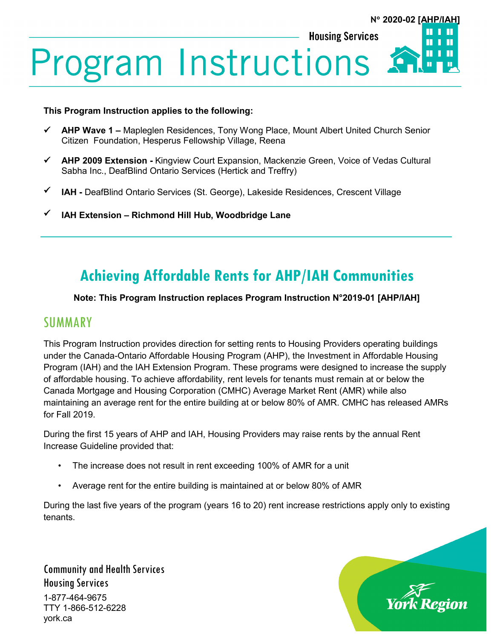### **Housing Services** Ш **Program Instructions** П

#### **This Program Instruction applies to the following:**

- **AHP Wave 1 –** Mapleglen Residences, Tony Wong Place, Mount Albert United Church Senior Citizen Foundation, Hesperus Fellowship Village, Reena
- **AHP 2009 Extension -** Kingview Court Expansion, Mackenzie Green, Voice of Vedas Cultural Sabha Inc., DeafBlind Ontario Services (Hertick and Treffry)
- **IAH -** DeafBlind Ontario Services (St. George), Lakeside Residences, Crescent Village
- **IAH Extension – Richmond Hill Hub, Woodbridge Lane**

# **Achieving Affordable Rents for AHP/IAH Communities**

### **Note: This Program Instruction replaces Program Instruction N°2019-01 [AHP/IAH]**

### **SUMMARY**

This Program Instruction provides direction for setting rents to Housing Providers operating buildings under the Canada-Ontario Affordable Housing Program (AHP), the Investment in Affordable Housing Program (IAH) and the IAH Extension Program. These programs were designed to increase the supply of affordable housing. To achieve affordability, rent levels for tenants must remain at or below the Canada Mortgage and Housing Corporation (CMHC) Average Market Rent (AMR) while also maintaining an average rent for the entire building at or below 80% of AMR. CMHC has released AMRs for Fall 2019.

During the first 15 years of AHP and IAH, Housing Providers may raise rents by the annual Rent Increase Guideline provided that:

- The increase does not result in rent exceeding 100% of AMR for a unit
- Average rent for the entire building is maintained at or below 80% of AMR

During the last five years of the program (years 16 to 20) rent increase restrictions apply only to existing tenants.

Community and Health Services Housing Services 1-877-464-9675 TTY 1-866-512-6228 york.ca



**N**° **2020-02 [AHP/IAH]**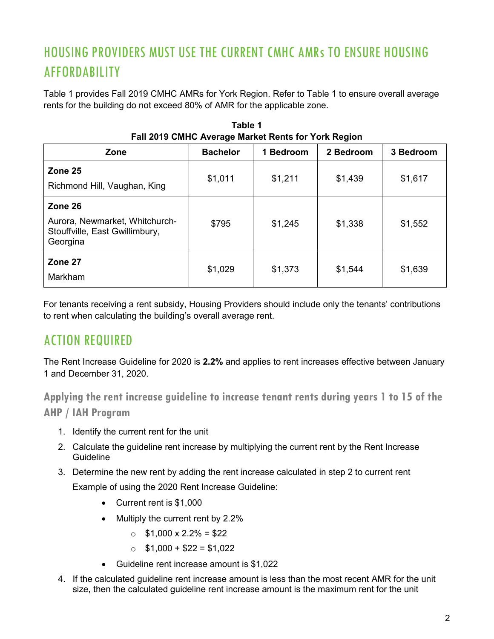## HOUSING PROVIDERS MUST USE THE CURRENT CMHC AMRs TO ENSURE HOUSING AFFORDABILITY

Table 1 provides Fall 2019 CMHC AMRs for York Region. Refer to Table 1 to ensure overall average rents for the building do not exceed 80% of AMR for the applicable zone.

| <u>I dii zulu Uniliu Avelaye market Kelits IVI Türk Keyibil</u>                         |                 |           |           |           |
|-----------------------------------------------------------------------------------------|-----------------|-----------|-----------|-----------|
| Zone                                                                                    | <b>Bachelor</b> | 1 Bedroom | 2 Bedroom | 3 Bedroom |
| Zone 25<br>Richmond Hill, Vaughan, King                                                 | \$1,011         | \$1,211   | \$1,439   | \$1,617   |
| Zone 26<br>Aurora, Newmarket, Whitchurch-<br>Stouffville, East Gwillimbury,<br>Georgina | \$795           | \$1,245   | \$1,338   | \$1,552   |
| Zone 27<br>Markham                                                                      | \$1,029         | \$1,373   | \$1,544   | \$1,639   |

**Table 1 Fall 2019 CMHC Average Market Rents for York Region**

For tenants receiving a rent subsidy, Housing Providers should include only the tenants' contributions to rent when calculating the building's overall average rent.

## ACTION REQUIRED

The Rent Increase Guideline for 2020 is **2.2%** and applies to rent increases effective between January 1 and December 31, 2020.

**Applying the rent increase guideline to increase tenant rents during years 1 to 15 of the AHP / IAH Program**

- 1. Identify the current rent for the unit
- 2. Calculate the guideline rent increase by multiplying the current rent by the Rent Increase Guideline
- 3. Determine the new rent by adding the rent increase calculated in step 2 to current rent Example of using the 2020 Rent Increase Guideline:
	- Current rent is \$1,000
	- Multiply the current rent by 2.2%
		- $\circ$  \$1,000 x 2.2% = \$22
		- $\circ$  \$1,000 + \$22 = \$1,022
	- Guideline rent increase amount is \$1,022
- 4. If the calculated guideline rent increase amount is less than the most recent AMR for the unit size, then the calculated guideline rent increase amount is the maximum rent for the unit